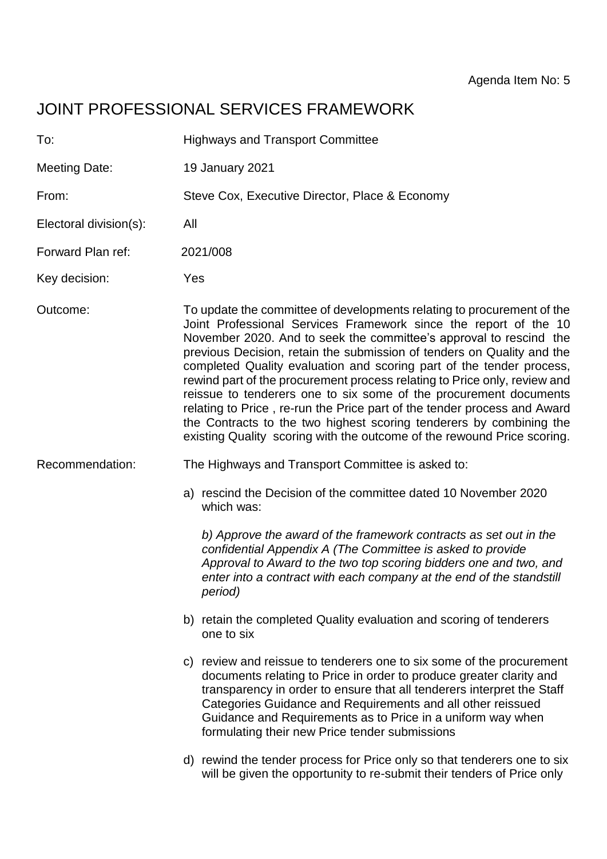# JOINT PROFESSIONAL SERVICES FRAMEWORK

| To:                    | <b>Highways and Transport Committee</b>                                                                                                                                                                                                                                                                                                                                                                                                                                                                                                                                                                                                                                                                                                            |
|------------------------|----------------------------------------------------------------------------------------------------------------------------------------------------------------------------------------------------------------------------------------------------------------------------------------------------------------------------------------------------------------------------------------------------------------------------------------------------------------------------------------------------------------------------------------------------------------------------------------------------------------------------------------------------------------------------------------------------------------------------------------------------|
| <b>Meeting Date:</b>   | 19 January 2021                                                                                                                                                                                                                                                                                                                                                                                                                                                                                                                                                                                                                                                                                                                                    |
| From:                  | Steve Cox, Executive Director, Place & Economy                                                                                                                                                                                                                                                                                                                                                                                                                                                                                                                                                                                                                                                                                                     |
| Electoral division(s): | All                                                                                                                                                                                                                                                                                                                                                                                                                                                                                                                                                                                                                                                                                                                                                |
| Forward Plan ref:      | 2021/008                                                                                                                                                                                                                                                                                                                                                                                                                                                                                                                                                                                                                                                                                                                                           |
| Key decision:          | Yes                                                                                                                                                                                                                                                                                                                                                                                                                                                                                                                                                                                                                                                                                                                                                |
| Outcome:               | To update the committee of developments relating to procurement of the<br>Joint Professional Services Framework since the report of the 10<br>November 2020. And to seek the committee's approval to rescind the<br>previous Decision, retain the submission of tenders on Quality and the<br>completed Quality evaluation and scoring part of the tender process,<br>rewind part of the procurement process relating to Price only, review and<br>reissue to tenderers one to six some of the procurement documents<br>relating to Price, re-run the Price part of the tender process and Award<br>the Contracts to the two highest scoring tenderers by combining the<br>existing Quality scoring with the outcome of the rewound Price scoring. |
| Recommendation:        | The Highways and Transport Committee is asked to:                                                                                                                                                                                                                                                                                                                                                                                                                                                                                                                                                                                                                                                                                                  |
|                        | a) rescind the Decision of the committee dated 10 November 2020<br>which was:                                                                                                                                                                                                                                                                                                                                                                                                                                                                                                                                                                                                                                                                      |
|                        | b) Approve the award of the framework contracts as set out in the<br>confidential Appendix A (The Committee is asked to provide<br>Approval to Award to the two top scoring bidders one and two, and<br>enter into a contract with each company at the end of the standstill<br>period)                                                                                                                                                                                                                                                                                                                                                                                                                                                            |
|                        | b) retain the completed Quality evaluation and scoring of tenderers<br>one to six                                                                                                                                                                                                                                                                                                                                                                                                                                                                                                                                                                                                                                                                  |
|                        | c) review and reissue to tenderers one to six some of the procurement<br>documents relating to Price in order to produce greater clarity and<br>transparency in order to ensure that all tenderers interpret the Staff<br>Categories Guidance and Requirements and all other reissued<br>Guidance and Requirements as to Price in a uniform way when<br>formulating their new Price tender submissions                                                                                                                                                                                                                                                                                                                                             |
|                        | d) rewind the tender process for Price only so that tenderers one to six<br>will be given the opportunity to re-submit their tenders of Price only                                                                                                                                                                                                                                                                                                                                                                                                                                                                                                                                                                                                 |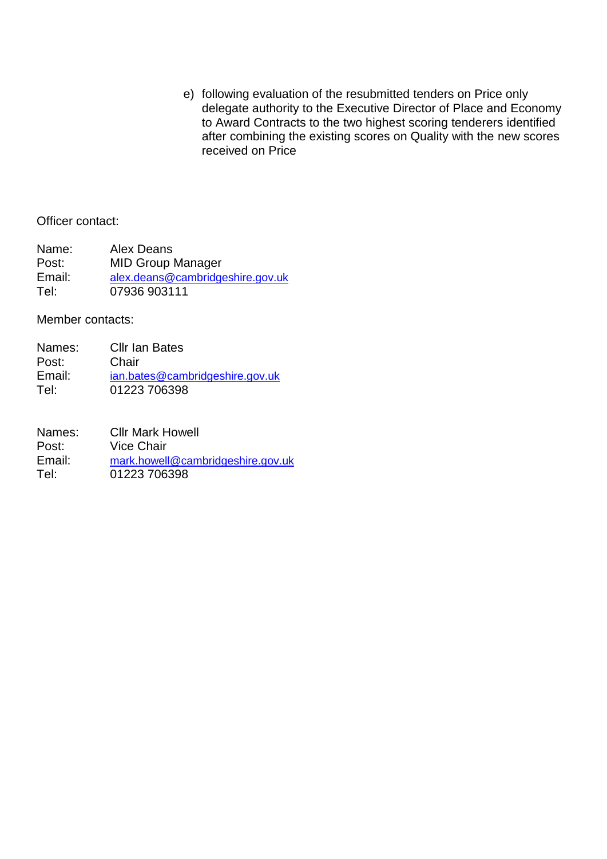e) following evaluation of the resubmitted tenders on Price only delegate authority to the Executive Director of Place and Economy to Award Contracts to the two highest scoring tenderers identified after combining the existing scores on Quality with the new scores received on Price

#### Officer contact:

| Name:  | Alex Deans                       |
|--------|----------------------------------|
| Post:  | <b>MID Group Manager</b>         |
| Email: | alex.deans@cambridgeshire.gov.uk |
| Tel:   | 07936 903111                     |

Member contacts:

| Names: | <b>Cllr Ian Bates</b>           |
|--------|---------------------------------|
| Post:  | Chair                           |
| Email: | ian.bates@cambridgeshire.gov.uk |
| Tel:   | 01223 706398                    |

| Names: | <b>Cllr Mark Howell</b>           |
|--------|-----------------------------------|
| Post:  | Vice Chair                        |
| Email: | mark.howell@cambridgeshire.gov.uk |
| Tel:   | 01223 706398                      |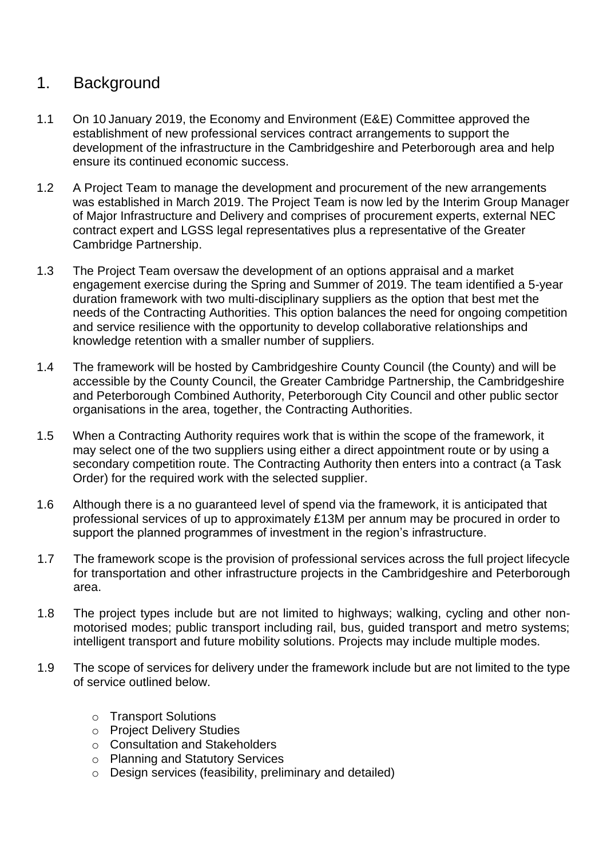## 1. Background

- 1.1 On 10 January 2019, the Economy and Environment (E&E) Committee approved the establishment of new professional services contract arrangements to support the development of the infrastructure in the Cambridgeshire and Peterborough area and help ensure its continued economic success.
- 1.2 A Project Team to manage the development and procurement of the new arrangements was established in March 2019. The Project Team is now led by the Interim Group Manager of Major Infrastructure and Delivery and comprises of procurement experts, external NEC contract expert and LGSS legal representatives plus a representative of the Greater Cambridge Partnership.
- 1.3 The Project Team oversaw the development of an options appraisal and a market engagement exercise during the Spring and Summer of 2019. The team identified a 5-year duration framework with two multi-disciplinary suppliers as the option that best met the needs of the Contracting Authorities. This option balances the need for ongoing competition and service resilience with the opportunity to develop collaborative relationships and knowledge retention with a smaller number of suppliers.
- 1.4 The framework will be hosted by Cambridgeshire County Council (the County) and will be accessible by the County Council, the Greater Cambridge Partnership, the Cambridgeshire and Peterborough Combined Authority, Peterborough City Council and other public sector organisations in the area, together, the Contracting Authorities.
- 1.5 When a Contracting Authority requires work that is within the scope of the framework, it may select one of the two suppliers using either a direct appointment route or by using a secondary competition route. The Contracting Authority then enters into a contract (a Task Order) for the required work with the selected supplier.
- 1.6 Although there is a no guaranteed level of spend via the framework, it is anticipated that professional services of up to approximately £13M per annum may be procured in order to support the planned programmes of investment in the region's infrastructure.
- 1.7 The framework scope is the provision of professional services across the full project lifecycle for transportation and other infrastructure projects in the Cambridgeshire and Peterborough area.
- 1.8 The project types include but are not limited to highways; walking, cycling and other nonmotorised modes; public transport including rail, bus, guided transport and metro systems; intelligent transport and future mobility solutions. Projects may include multiple modes.
- 1.9 The scope of services for delivery under the framework include but are not limited to the type of service outlined below.
	- o Transport Solutions
	- o Project Delivery Studies
	- o Consultation and Stakeholders
	- o Planning and Statutory Services
	- o Design services (feasibility, preliminary and detailed)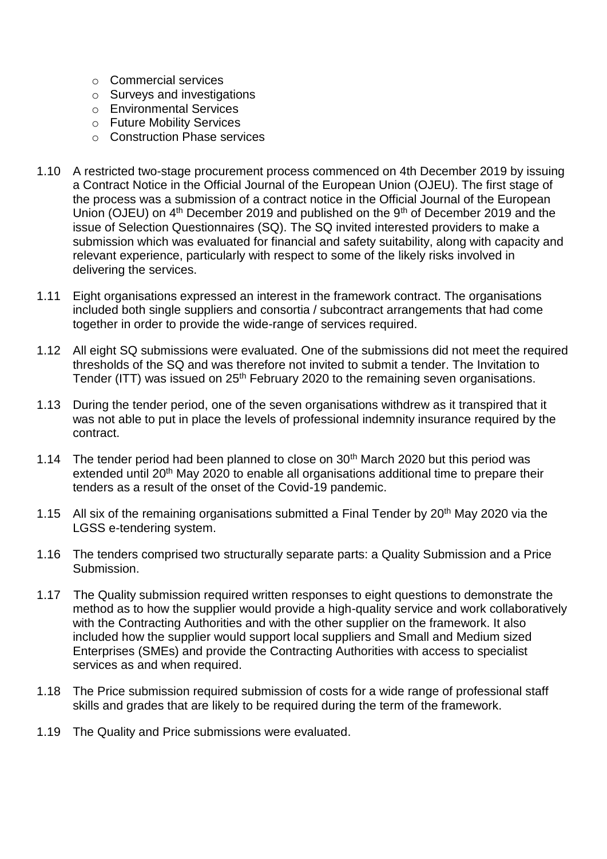- o Commercial services
- o Surveys and investigations
- o Environmental Services
- o Future Mobility Services
- o Construction Phase services
- 1.10 A restricted two-stage procurement process commenced on 4th December 2019 by issuing a Contract Notice in the Official Journal of the European Union (OJEU). The first stage of the process was a submission of a contract notice in the Official Journal of the European Union (OJEU) on 4<sup>th</sup> December 2019 and published on the 9<sup>th</sup> of December 2019 and the issue of Selection Questionnaires (SQ). The SQ invited interested providers to make a submission which was evaluated for financial and safety suitability, along with capacity and relevant experience, particularly with respect to some of the likely risks involved in delivering the services.
- 1.11 Eight organisations expressed an interest in the framework contract. The organisations included both single suppliers and consortia / subcontract arrangements that had come together in order to provide the wide-range of services required.
- 1.12 All eight SQ submissions were evaluated. One of the submissions did not meet the required thresholds of the SQ and was therefore not invited to submit a tender. The Invitation to Tender (ITT) was issued on 25<sup>th</sup> February 2020 to the remaining seven organisations.
- 1.13 During the tender period, one of the seven organisations withdrew as it transpired that it was not able to put in place the levels of professional indemnity insurance required by the contract.
- 1.14 The tender period had been planned to close on 30<sup>th</sup> March 2020 but this period was extended until 20<sup>th</sup> May 2020 to enable all organisations additional time to prepare their tenders as a result of the onset of the Covid-19 pandemic.
- 1.15 All six of the remaining organisations submitted a Final Tender by 20<sup>th</sup> May 2020 via the LGSS e-tendering system.
- 1.16 The tenders comprised two structurally separate parts: a Quality Submission and a Price Submission.
- 1.17 The Quality submission required written responses to eight questions to demonstrate the method as to how the supplier would provide a high-quality service and work collaboratively with the Contracting Authorities and with the other supplier on the framework. It also included how the supplier would support local suppliers and Small and Medium sized Enterprises (SMEs) and provide the Contracting Authorities with access to specialist services as and when required.
- 1.18 The Price submission required submission of costs for a wide range of professional staff skills and grades that are likely to be required during the term of the framework.
- 1.19 The Quality and Price submissions were evaluated.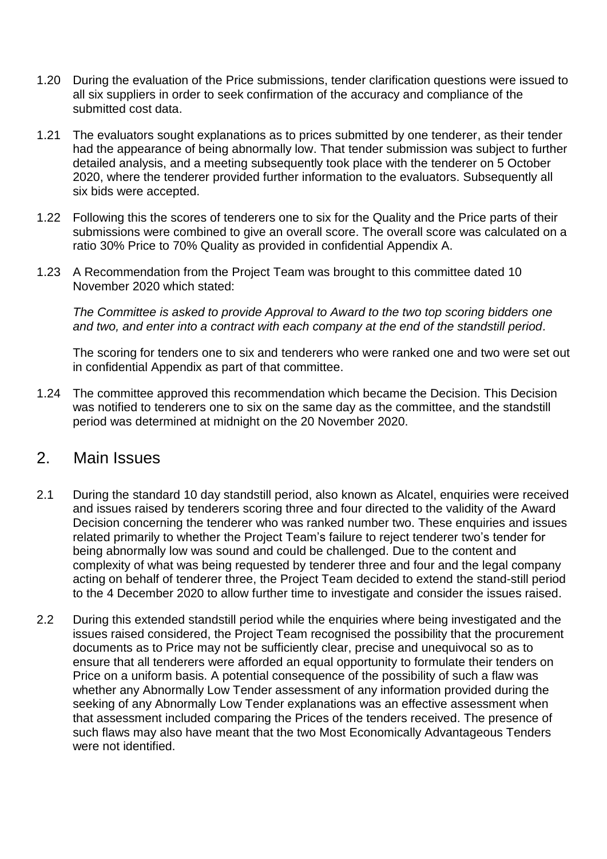- 1.20 During the evaluation of the Price submissions, tender clarification questions were issued to all six suppliers in order to seek confirmation of the accuracy and compliance of the submitted cost data.
- 1.21 The evaluators sought explanations as to prices submitted by one tenderer, as their tender had the appearance of being abnormally low. That tender submission was subject to further detailed analysis, and a meeting subsequently took place with the tenderer on 5 October 2020, where the tenderer provided further information to the evaluators. Subsequently all six bids were accepted.
- 1.22 Following this the scores of tenderers one to six for the Quality and the Price parts of their submissions were combined to give an overall score. The overall score was calculated on a ratio 30% Price to 70% Quality as provided in confidential Appendix A.
- 1.23 A Recommendation from the Project Team was brought to this committee dated 10 November 2020 which stated:

*The Committee is asked to provide Approval to Award to the two top scoring bidders one and two, and enter into a contract with each company at the end of the standstill period.*

The scoring for tenders one to six and tenderers who were ranked one and two were set out in confidential Appendix as part of that committee.

1.24 The committee approved this recommendation which became the Decision. This Decision was notified to tenderers one to six on the same day as the committee, and the standstill period was determined at midnight on the 20 November 2020.

### 2. Main Issues

- 2.1 During the standard 10 day standstill period, also known as Alcatel, enquiries were received and issues raised by tenderers scoring three and four directed to the validity of the Award Decision concerning the tenderer who was ranked number two. These enquiries and issues related primarily to whether the Project Team's failure to reject tenderer two's tender for being abnormally low was sound and could be challenged. Due to the content and complexity of what was being requested by tenderer three and four and the legal company acting on behalf of tenderer three, the Project Team decided to extend the stand-still period to the 4 December 2020 to allow further time to investigate and consider the issues raised.
- 2.2 During this extended standstill period while the enquiries where being investigated and the issues raised considered, the Project Team recognised the possibility that the procurement documents as to Price may not be sufficiently clear, precise and unequivocal so as to ensure that all tenderers were afforded an equal opportunity to formulate their tenders on Price on a uniform basis. A potential consequence of the possibility of such a flaw was whether any Abnormally Low Tender assessment of any information provided during the seeking of any Abnormally Low Tender explanations was an effective assessment when that assessment included comparing the Prices of the tenders received. The presence of such flaws may also have meant that the two Most Economically Advantageous Tenders were not identified.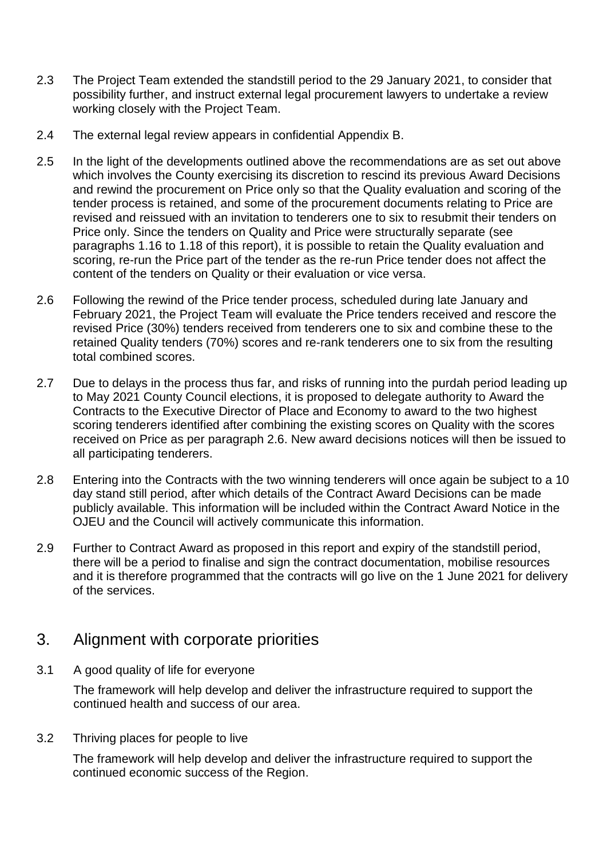- 2.3 The Project Team extended the standstill period to the 29 January 2021, to consider that possibility further, and instruct external legal procurement lawyers to undertake a review working closely with the Project Team.
- 2.4 The external legal review appears in confidential Appendix B.
- 2.5 In the light of the developments outlined above the recommendations are as set out above which involves the County exercising its discretion to rescind its previous Award Decisions and rewind the procurement on Price only so that the Quality evaluation and scoring of the tender process is retained, and some of the procurement documents relating to Price are revised and reissued with an invitation to tenderers one to six to resubmit their tenders on Price only. Since the tenders on Quality and Price were structurally separate (see paragraphs 1.16 to 1.18 of this report), it is possible to retain the Quality evaluation and scoring, re-run the Price part of the tender as the re-run Price tender does not affect the content of the tenders on Quality or their evaluation or vice versa.
- 2.6 Following the rewind of the Price tender process, scheduled during late January and February 2021, the Project Team will evaluate the Price tenders received and rescore the revised Price (30%) tenders received from tenderers one to six and combine these to the retained Quality tenders (70%) scores and re-rank tenderers one to six from the resulting total combined scores.
- 2.7 Due to delays in the process thus far, and risks of running into the purdah period leading up to May 2021 County Council elections, it is proposed to delegate authority to Award the Contracts to the Executive Director of Place and Economy to award to the two highest scoring tenderers identified after combining the existing scores on Quality with the scores received on Price as per paragraph 2.6. New award decisions notices will then be issued to all participating tenderers.
- 2.8 Entering into the Contracts with the two winning tenderers will once again be subject to a 10 day stand still period, after which details of the Contract Award Decisions can be made publicly available. This information will be included within the Contract Award Notice in the OJEU and the Council will actively communicate this information.
- 2.9 Further to Contract Award as proposed in this report and expiry of the standstill period, there will be a period to finalise and sign the contract documentation, mobilise resources and it is therefore programmed that the contracts will go live on the 1 June 2021 for delivery of the services.

## 3. Alignment with corporate priorities

3.1 A good quality of life for everyone

The framework will help develop and deliver the infrastructure required to support the continued health and success of our area.

3.2 Thriving places for people to live

The framework will help develop and deliver the infrastructure required to support the continued economic success of the Region.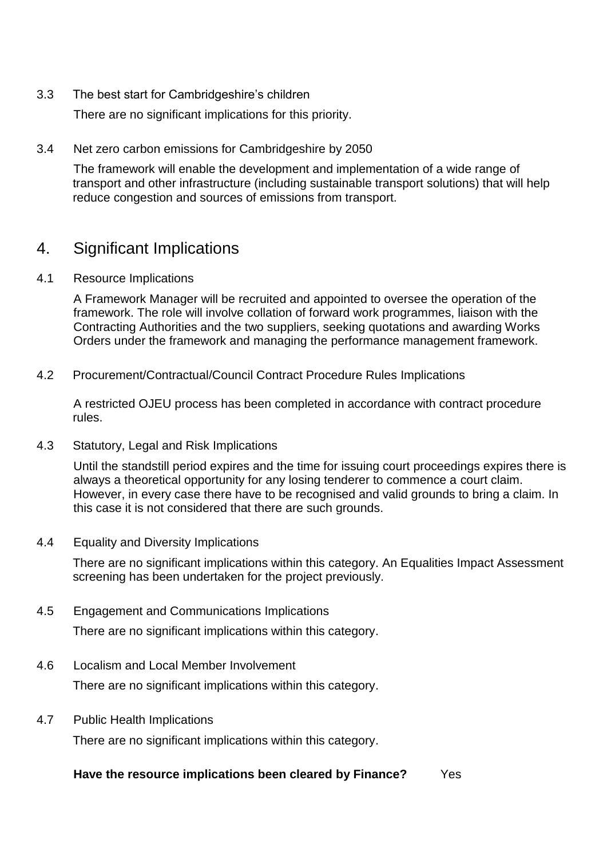3.3 The best start for Cambridgeshire's children

There are no significant implications for this priority.

3.4 Net zero carbon emissions for Cambridgeshire by 2050

The framework will enable the development and implementation of a wide range of transport and other infrastructure (including sustainable transport solutions) that will help reduce congestion and sources of emissions from transport.

## 4. Significant Implications

4.1 Resource Implications

A Framework Manager will be recruited and appointed to oversee the operation of the framework. The role will involve collation of forward work programmes, liaison with the Contracting Authorities and the two suppliers, seeking quotations and awarding Works Orders under the framework and managing the performance management framework.

4.2 Procurement/Contractual/Council Contract Procedure Rules Implications

A restricted OJEU process has been completed in accordance with contract procedure rules.

4.3 Statutory, Legal and Risk Implications

Until the standstill period expires and the time for issuing court proceedings expires there is always a theoretical opportunity for any losing tenderer to commence a court claim. However, in every case there have to be recognised and valid grounds to bring a claim. In this case it is not considered that there are such grounds.

4.4 Equality and Diversity Implications

There are no significant implications within this category. An Equalities Impact Assessment screening has been undertaken for the project previously.

4.5 Engagement and Communications Implications

There are no significant implications within this category.

4.6 Localism and Local Member Involvement

There are no significant implications within this category.

4.7 Public Health Implications

There are no significant implications within this category.

#### **Have the resource implications been cleared by Finance?** Yes